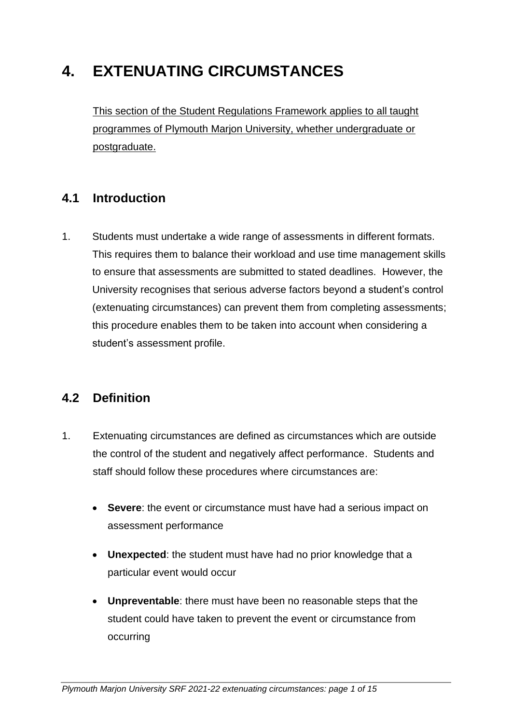# **4. EXTENUATING CIRCUMSTANCES**

This section of the Student Regulations Framework applies to all taught programmes of Plymouth Marjon University, whether undergraduate or postgraduate.

### **4.1 Introduction**

1. Students must undertake a wide range of assessments in different formats. This requires them to balance their workload and use time management skills to ensure that assessments are submitted to stated deadlines. However, the University recognises that serious adverse factors beyond a student's control (extenuating circumstances) can prevent them from completing assessments; this procedure enables them to be taken into account when considering a student's assessment profile.

### **4.2 Definition**

- 1. Extenuating circumstances are defined as circumstances which are outside the control of the student and negatively affect performance. Students and staff should follow these procedures where circumstances are:
	- **Severe**: the event or circumstance must have had a serious impact on assessment performance
	- **Unexpected**: the student must have had no prior knowledge that a particular event would occur
	- **Unpreventable**: there must have been no reasonable steps that the student could have taken to prevent the event or circumstance from occurring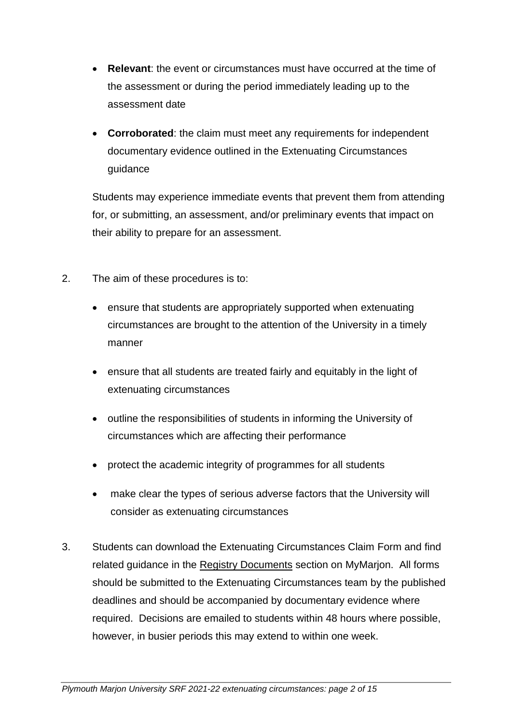- **Relevant**: the event or circumstances must have occurred at the time of the assessment or during the period immediately leading up to the assessment date
- **Corroborated**: the claim must meet any requirements for independent documentary evidence outlined in the Extenuating Circumstances [guidance](https://d3mcbia3evjswv.cloudfront.net/files/Mitigating%20Circumstances%20FAQs%202020-21%20Booklet.pdf)

Students may experience immediate events that prevent them from attending for, or submitting, an assessment, and/or preliminary events that impact on their ability to prepare for an assessment.

- 2. The aim of these procedures is to:
	- ensure that students are appropriately supported when extenuating circumstances are brought to the attention of the University in a timely manner
	- ensure that all students are treated fairly and equitably in the light of extenuating circumstances
	- outline the responsibilities of students in informing the University of circumstances which are affecting their performance
	- protect the academic integrity of programmes for all students
	- make clear the types of serious adverse factors that the University will consider as extenuating circumstances
- 3. Students can download the Extenuating Circumstances Claim Form and find related guidance in the [Registry Documents](https://marjonuni.sharepoint.com/sites/studentportal/SitePages/Registry-%26-Admissions.aspx) section on MyMarjon. All forms should be submitted to the Extenuating Circumstances team by the published deadlines and should be accompanied by documentary evidence where required. Decisions are emailed to students within 48 hours where possible, however, in busier periods this may extend to within one week.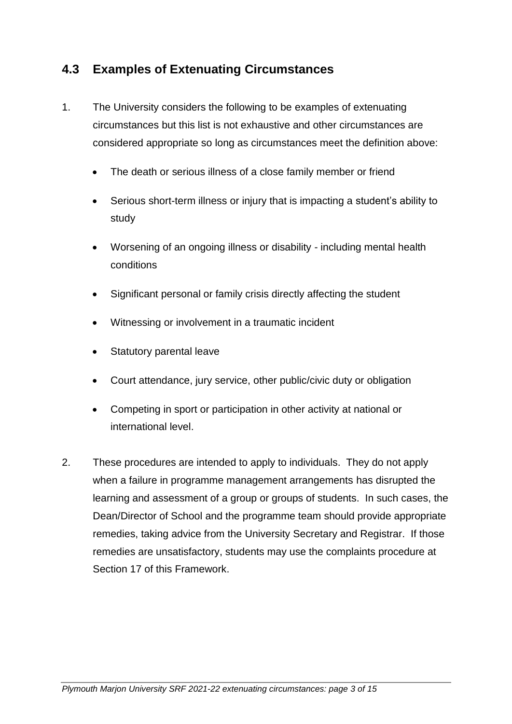## **4.3 Examples of Extenuating Circumstances**

- 1. The University considers the following to be examples of extenuating circumstances but this list is not exhaustive and other circumstances are considered appropriate so long as circumstances meet the definition above:
	- The death or serious illness of a close family member or friend
	- Serious short-term illness or injury that is impacting a student's ability to study
	- Worsening of an ongoing illness or disability including mental health conditions
	- Significant personal or family crisis directly affecting the student
	- Witnessing or involvement in a traumatic incident
	- Statutory parental leave
	- Court attendance, jury service, other public/civic duty or obligation
	- Competing in sport or participation in other activity at national or international level.
- 2. These procedures are intended to apply to individuals. They do not apply when a failure in programme management arrangements has disrupted the learning and assessment of a group or groups of students. In such cases, the Dean/Director of School and the programme team should provide appropriate remedies, taking advice from the University Secretary and Registrar. If those remedies are unsatisfactory, students may use the complaints procedure at Section 17 of this Framework.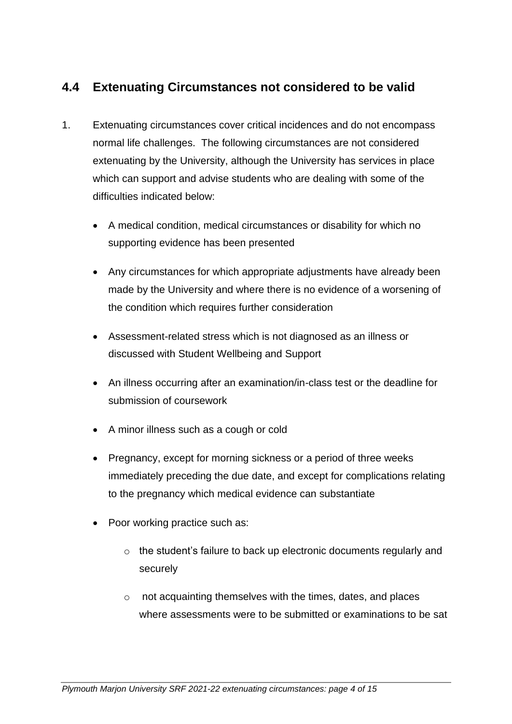# **4.4 Extenuating Circumstances not considered to be valid**

- 1. Extenuating circumstances cover critical incidences and do not encompass normal life challenges. The following circumstances are not considered extenuating by the University, although the University has services in place which can support and advise students who are dealing with some of the difficulties indicated below:
	- A medical condition, medical circumstances or disability for which no supporting evidence has been presented
	- Any circumstances for which appropriate adjustments have already been made by the University and where there is no evidence of a worsening of the condition which requires further consideration
	- Assessment-related stress which is not diagnosed as an illness or discussed with Student Wellbeing and Support
	- An illness occurring after an examination/in-class test or the deadline for submission of coursework
	- A minor illness such as a cough or cold
	- Pregnancy, except for morning sickness or a period of three weeks immediately preceding the due date, and except for complications relating to the pregnancy which medical evidence can substantiate
	- Poor working practice such as:
		- o the student's failure to back up electronic documents regularly and securely
		- o not acquainting themselves with the times, dates, and places where assessments were to be submitted or examinations to be sat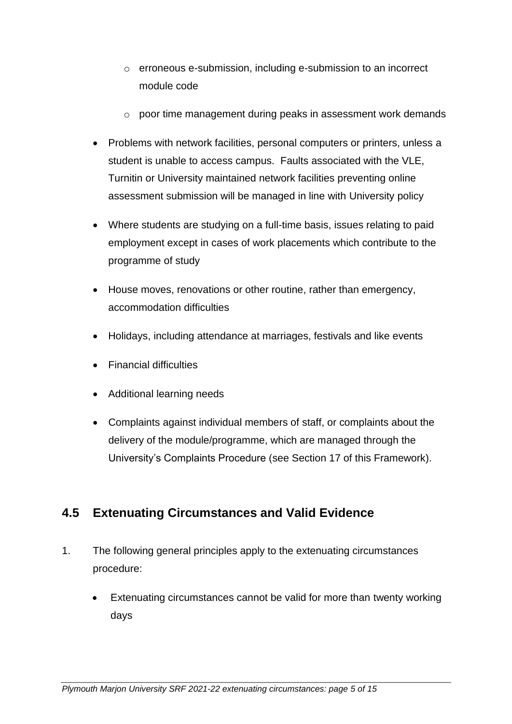- o erroneous e-submission, including e-submission to an incorrect module code
- o poor time management during peaks in assessment work demands
- Problems with network facilities, personal computers or printers, unless a student is unable to access campus. Faults associated with the VLE, Turnitin or University maintained network facilities preventing online assessment submission will be managed in line with University policy
- Where students are studying on a full-time basis, issues relating to paid employment except in cases of work placements which contribute to the programme of study
- House moves, renovations or other routine, rather than emergency, accommodation difficulties
- Holidays, including attendance at marriages, festivals and like events
- Financial difficulties
- Additional learning needs
- Complaints against individual members of staff, or complaints about the delivery of the module/programme, which are managed through the University's Complaints Procedure (see Section 17 of this Framework).

# **4.5 Extenuating Circumstances and Valid Evidence**

- 1. The following general principles apply to the extenuating circumstances procedure:
	- Extenuating circumstances cannot be valid for more than twenty working days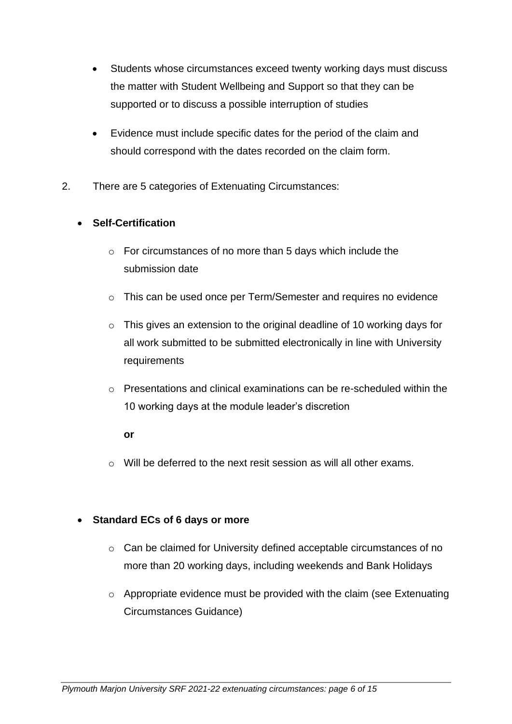- Students whose circumstances exceed twenty working days must discuss the matter with Student Wellbeing and Support so that they can be supported or to discuss a possible interruption of studies
- Evidence must include specific dates for the period of the claim and should correspond with the dates recorded on the claim form.
- 2. There are 5 categories of Extenuating Circumstances:

#### • **Self-Certification**

- o For circumstances of no more than 5 days which include the submission date
- o This can be used once per Term/Semester and requires no evidence
- o This gives an extension to the original deadline of 10 working days for all work submitted to be submitted electronically in line with University requirements
- $\circ$  Presentations and clinical examinations can be re-scheduled within the 10 working days at the module leader's discretion

#### **or**

 $\circ$  Will be deferred to the next resit session as will all other exams.

#### • **Standard ECs of 6 days or more**

- o Can be claimed for University defined acceptable circumstances of no more than 20 working days, including weekends and Bank Holidays
- o Appropriate evidence must be provided with the claim (see Extenuating Circumstances Guidance)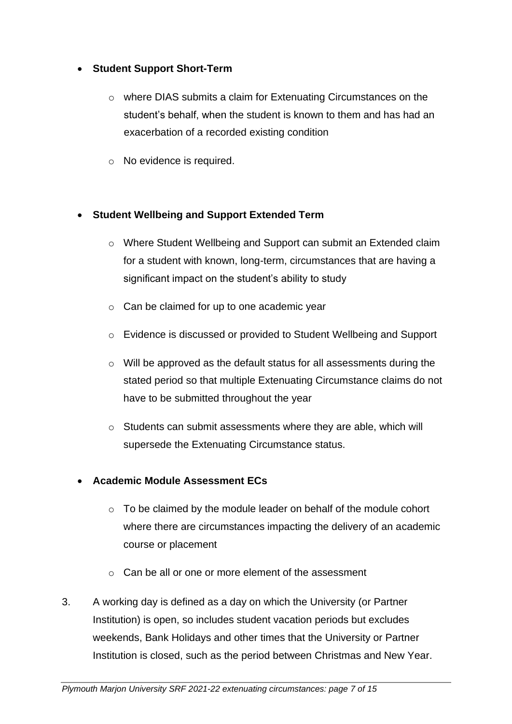#### • **Student Support Short-Term**

- o where DIAS submits a claim for Extenuating Circumstances on the student's behalf, when the student is known to them and has had an exacerbation of a recorded existing condition
- o No evidence is required.

#### • **Student Wellbeing and Support Extended Term**

- o Where Student Wellbeing and Support can submit an Extended claim for a student with known, long-term, circumstances that are having a significant impact on the student's ability to study
- $\circ$  Can be claimed for up to one academic year
- o Evidence is discussed or provided to Student Wellbeing and Support
- o Will be approved as the default status for all assessments during the stated period so that multiple Extenuating Circumstance claims do not have to be submitted throughout the year
- o Students can submit assessments where they are able, which will supersede the Extenuating Circumstance status.

#### • **Academic Module Assessment ECs**

- $\circ$  To be claimed by the module leader on behalf of the module cohort where there are circumstances impacting the delivery of an academic course or placement
- $\circ$  Can be all or one or more element of the assessment
- 3. A working day is defined as a day on which the University (or Partner Institution) is open, so includes student vacation periods but excludes weekends, Bank Holidays and other times that the University or Partner Institution is closed, such as the period between Christmas and New Year.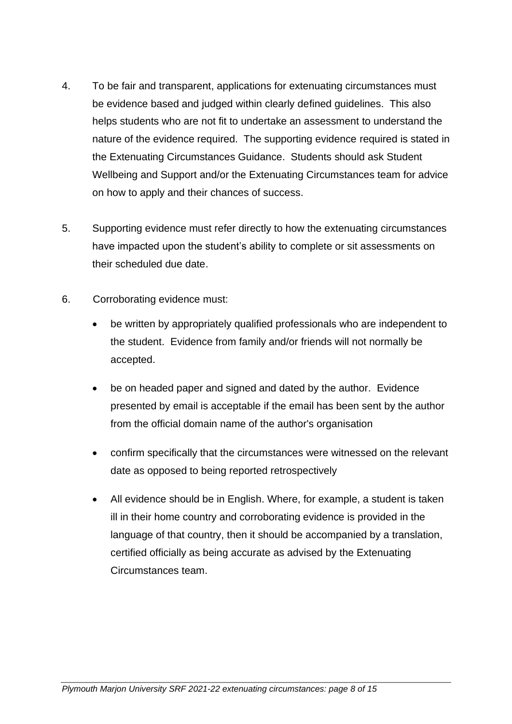- 4. To be fair and transparent, applications for extenuating circumstances must be evidence based and judged within clearly defined guidelines. This also helps students who are not fit to undertake an assessment to understand the nature of the evidence required. The supporting evidence required is stated in the Extenuating Circumstances Guidance. Students should ask Student Wellbeing and Support and/or the Extenuating Circumstances team for advice on how to apply and their chances of success.
- 5. Supporting evidence must refer directly to how the extenuating circumstances have impacted upon the student's ability to complete or sit assessments on their scheduled due date.
- 6. Corroborating evidence must:
	- be written by appropriately qualified professionals who are independent to the student. Evidence from family and/or friends will not normally be accepted.
	- be on headed paper and signed and dated by the author. Evidence presented by email is acceptable if the email has been sent by the author from the official domain name of the author's organisation
	- confirm specifically that the circumstances were witnessed on the relevant date as opposed to being reported retrospectively
	- All evidence should be in English. Where, for example, a student is taken ill in their home country and corroborating evidence is provided in the language of that country, then it should be accompanied by a translation, certified officially as being accurate as advised by the Extenuating Circumstances team.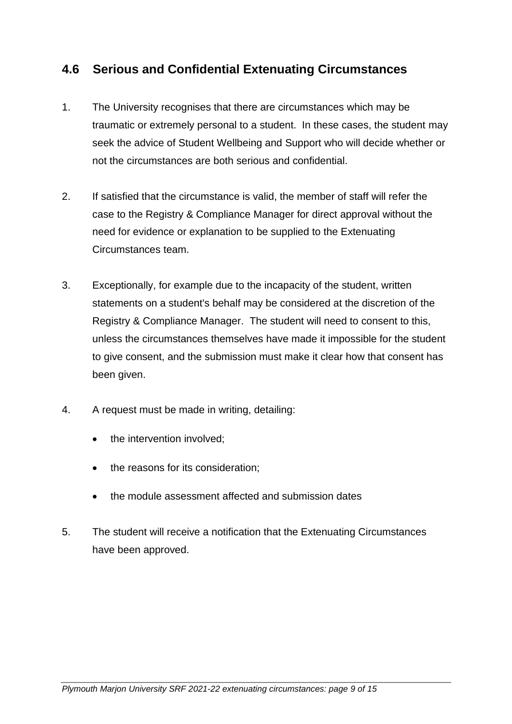### **4.6 Serious and Confidential Extenuating Circumstances**

- 1. The University recognises that there are circumstances which may be traumatic or extremely personal to a student. In these cases, the student may seek the advice of Student Wellbeing and Support who will decide whether or not the circumstances are both serious and confidential.
- 2. If satisfied that the circumstance is valid, the member of staff will refer the case to the Registry & Compliance Manager for direct approval without the need for evidence or explanation to be supplied to the Extenuating Circumstances team.
- 3. Exceptionally, for example due to the incapacity of the student, written statements on a student's behalf may be considered at the discretion of the Registry & Compliance Manager. The student will need to consent to this, unless the circumstances themselves have made it impossible for the student to give consent, and the submission must make it clear how that consent has been given.
- 4. A request must be made in writing, detailing:
	- the intervention involved:
	- the reasons for its consideration;
	- the module assessment affected and submission dates
- 5. The student will receive a notification that the Extenuating Circumstances have been approved.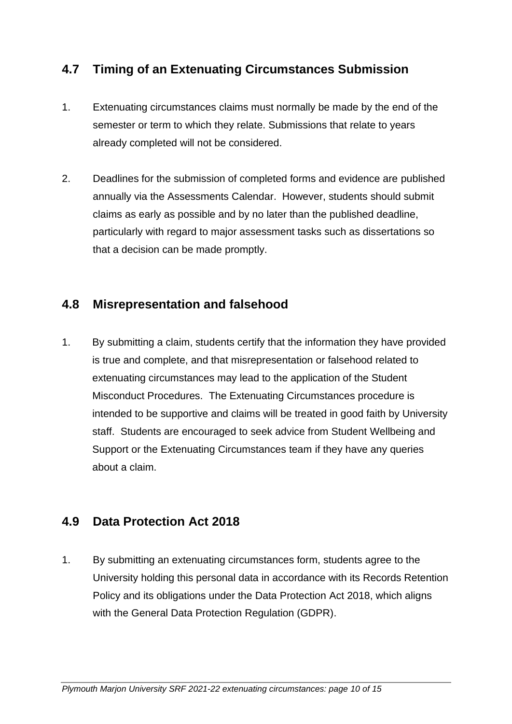# **4.7 Timing of an Extenuating Circumstances Submission**

- 1. Extenuating circumstances claims must normally be made by the end of the semester or term to which they relate. Submissions that relate to years already completed will not be considered.
- 2. Deadlines for the submission of completed forms and evidence are published annually via the Assessments Calendar. However, students should submit claims as early as possible and by no later than the published deadline, particularly with regard to major assessment tasks such as dissertations so that a decision can be made promptly.

### **4.8 Misrepresentation and falsehood**

1. By submitting a claim, students certify that the information they have provided is true and complete, and that misrepresentation or falsehood related to extenuating circumstances may lead to the application of the Student Misconduct Procedures. The Extenuating Circumstances procedure is intended to be supportive and claims will be treated in good faith by University staff. Students are encouraged to seek advice from Student Wellbeing and Support or the Extenuating Circumstances team if they have any queries about a claim.

### **4.9 Data Protection Act 2018**

1. By submitting an extenuating circumstances form, students agree to the University holding this personal data in accordance with its Records Retention Policy and its obligations under the Data Protection Act 2018, which aligns with the General Data Protection Regulation (GDPR).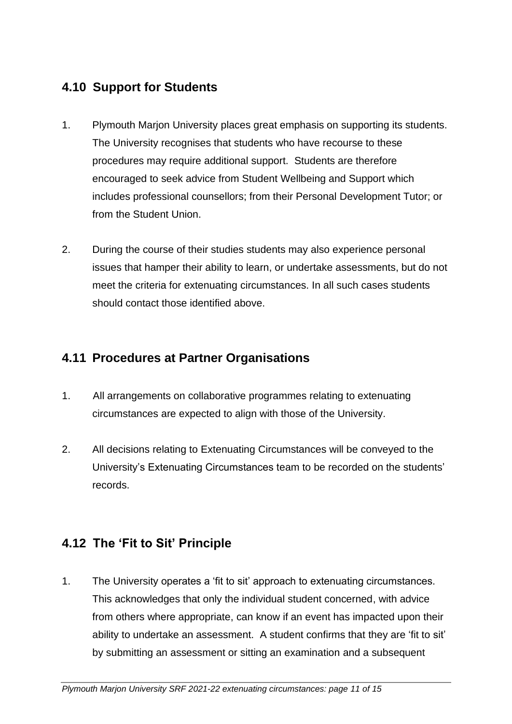# **4.10 Support for Students**

- 1. Plymouth Marjon University places great emphasis on supporting its students. The University recognises that students who have recourse to these procedures may require additional support. Students are therefore encouraged to seek advice from Student Wellbeing and Support which includes professional counsellors; from their Personal Development Tutor; or from the Student Union.
- 2. During the course of their studies students may also experience personal issues that hamper their ability to learn, or undertake assessments, but do not meet the criteria for extenuating circumstances. In all such cases students should contact those identified above.

### **4.11 Procedures at Partner Organisations**

- 1. All arrangements on collaborative programmes relating to extenuating circumstances are expected to align with those of the University.
- 2. All decisions relating to Extenuating Circumstances will be conveyed to the University's Extenuating Circumstances team to be recorded on the students' records.

# **4.12 The 'Fit to Sit' Principle**

1. The University operates a 'fit to sit' approach to extenuating circumstances. This acknowledges that only the individual student concerned, with advice from others where appropriate, can know if an event has impacted upon their ability to undertake an assessment. A student confirms that they are 'fit to sit' by submitting an assessment or sitting an examination and a subsequent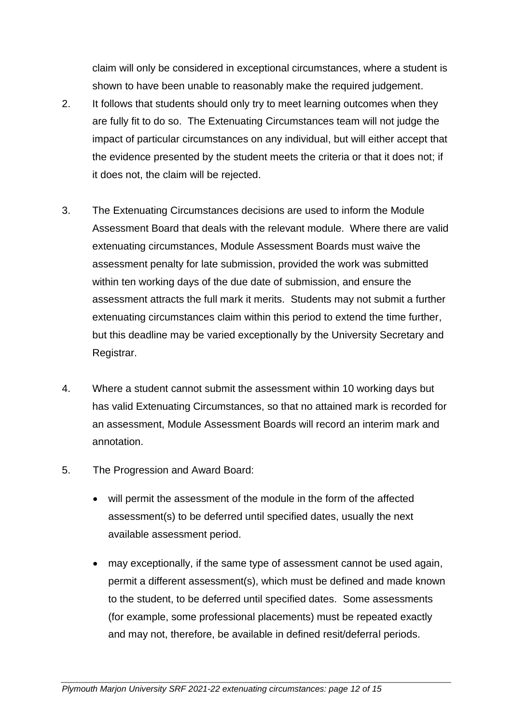claim will only be considered in exceptional circumstances, where a student is shown to have been unable to reasonably make the required judgement.

- 2. It follows that students should only try to meet learning outcomes when they are fully fit to do so. The Extenuating Circumstances team will not judge the impact of particular circumstances on any individual, but will either accept that the evidence presented by the student meets the criteria or that it does not; if it does not, the claim will be rejected.
- 3. The Extenuating Circumstances decisions are used to inform the Module Assessment Board that deals with the relevant module. Where there are valid extenuating circumstances, Module Assessment Boards must waive the assessment penalty for late submission, provided the work was submitted within ten working days of the due date of submission, and ensure the assessment attracts the full mark it merits. Students may not submit a further extenuating circumstances claim within this period to extend the time further, but this deadline may be varied exceptionally by the University Secretary and Registrar.
- 4. Where a student cannot submit the assessment within 10 working days but has valid Extenuating Circumstances, so that no attained mark is recorded for an assessment, Module Assessment Boards will record an interim mark and annotation.
- 5. The Progression and Award Board:
	- will permit the assessment of the module in the form of the affected assessment(s) to be deferred until specified dates, usually the next available assessment period.
	- may exceptionally, if the same type of assessment cannot be used again, permit a different assessment(s), which must be defined and made known to the student, to be deferred until specified dates. Some assessments (for example, some professional placements) must be repeated exactly and may not, therefore, be available in defined resit/deferral periods.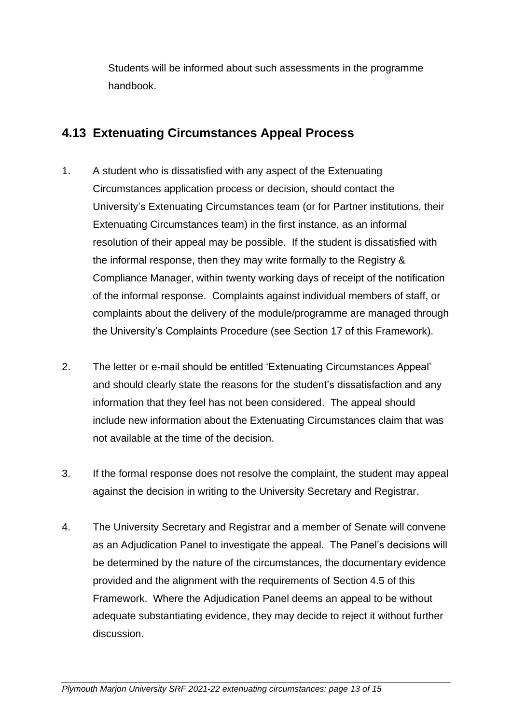Students will be informed about such assessments in the programme handbook.

# **4.13 Extenuating Circumstances Appeal Process**

- 1. A student who is dissatisfied with any aspect of the Extenuating Circumstances application process or decision, should contact the University's Extenuating Circumstances team (or for Partner institutions, their Extenuating Circumstances team) in the first instance, as an informal resolution of their appeal may be possible. If the student is dissatisfied with the informal response, then they may write formally to the Registry & Compliance Manager, within twenty working days of receipt of the notification of the informal response. Complaints against individual members of staff, or complaints about the delivery of the module/programme are managed through the University's Complaints Procedure (see Section 17 of this Framework).
- 2. The letter or e-mail should be entitled 'Extenuating Circumstances Appeal' and should clearly state the reasons for the student's dissatisfaction and any information that they feel has not been considered. The appeal should include new information about the Extenuating Circumstances claim that was not available at the time of the decision.
- 3. If the formal response does not resolve the complaint, the student may appeal against the decision in writing to the University Secretary and Registrar.
- 4. The University Secretary and Registrar and a member of Senate will convene as an Adjudication Panel to investigate the appeal. The Panel's decisions will be determined by the nature of the circumstances, the documentary evidence provided and the alignment with the requirements of Section 4.5 of this Framework. Where the Adjudication Panel deems an appeal to be without adequate substantiating evidence, they may decide to reject it without further discussion.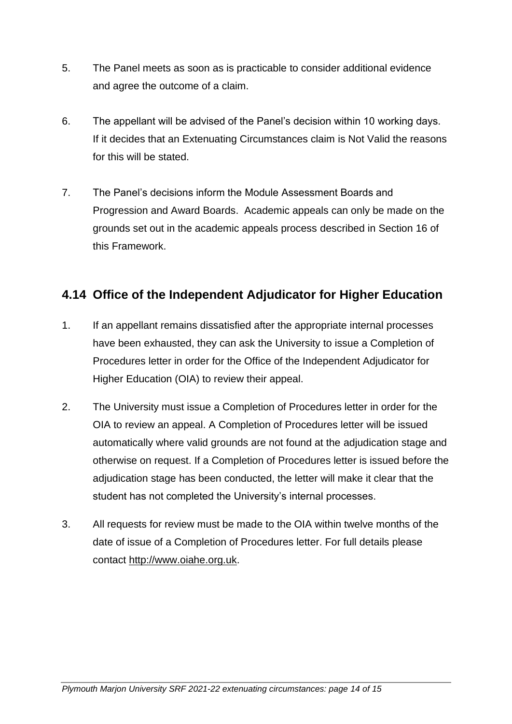- 5. The Panel meets as soon as is practicable to consider additional evidence and agree the outcome of a claim.
- 6. The appellant will be advised of the Panel's decision within 10 working days. If it decides that an Extenuating Circumstances claim is Not Valid the reasons for this will be stated.
- 7. The Panel's decisions inform the Module Assessment Boards and Progression and Award Boards. Academic appeals can only be made on the grounds set out in the academic appeals process described in Section 16 of this Framework.

# **4.14 Office of the Independent Adjudicator for Higher Education**

- 1. If an appellant remains dissatisfied after the appropriate internal processes have been exhausted, they can ask the University to issue a Completion of Procedures letter in order for the Office of the Independent Adjudicator for Higher Education (OIA) to review their appeal.
- 2. The University must issue a Completion of Procedures letter in order for the OIA to review an appeal. A Completion of Procedures letter will be issued automatically where valid grounds are not found at the adjudication stage and otherwise on request. If a Completion of Procedures letter is issued before the adjudication stage has been conducted, the letter will make it clear that the student has not completed the University's internal processes.
- 3. All requests for review must be made to the OIA within twelve months of the date of issue of a Completion of Procedures letter. For full details please contact [http://www.oiahe.org.uk.](http://www.oiahe.org.uk/)